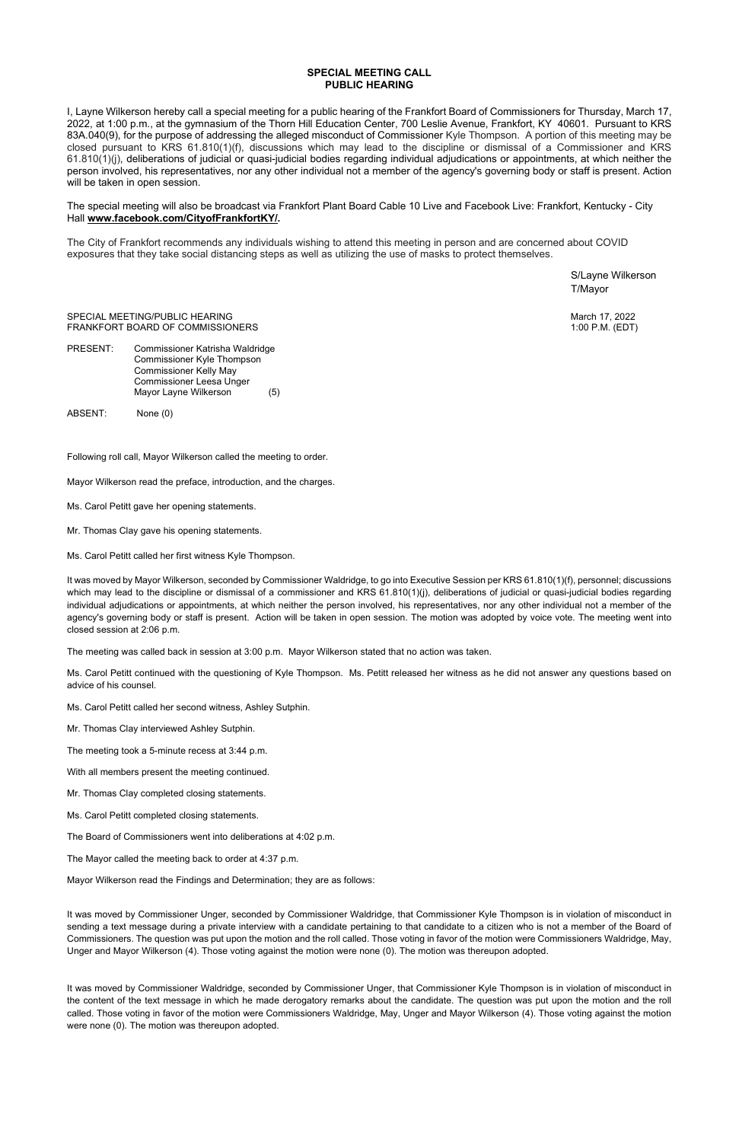## **SPECIAL MEETING CALL PUBLIC HEARING**

I, Layne Wilkerson hereby call a special meeting for a public hearing of the Frankfort Board of Commissioners for Thursday, March 17, 2022, at 1:00 p.m., at the gymnasium of the Thorn Hill Education Center, 700 Leslie Avenue, Frankfort, KY 40601. Pursuant to KRS 83A.040(9), for the purpose of addressing the alleged misconduct of Commissioner Kyle Thompson. A portion of this meeting may be closed pursuant to KRS 61.810(1)(f), discussions which may lead to the discipline or dismissal of a Commissioner and KRS 61.810(1)(j), deliberations of judicial or quasi-judicial bodies regarding individual adjudications or appointments, at which neither the person involved, his representatives, nor any other individual not a member of the agency's governing body or staff is present. Action will be taken in open session.

PRESENT: Commissioner Katrisha Waldridge Commissioner Kyle Thompson Commissioner Kelly May Commissioner Leesa Unger Mayor Layne Wilkerson (5)

The special meeting will also be broadcast via Frankfort Plant Board Cable 10 Live and Facebook Live: Frankfort, Kentucky - City Hall **[www.facebook.com/CityofFrankfortKY/.](http://www.facebook.com/CityofFrankfortKY/)** 

The City of Frankfort recommends any individuals wishing to attend this meeting in person and are concerned about COVID exposures that they take social distancing steps as well as utilizing the use of masks to protect themselves.

> S/Layne Wilkerson T/Mayor

SPECIAL MEETING/PUBLIC HEARING March 17, 2022 FRANKFORT BOARD OF COMMISSIONERS 1:00 P.M. (EDT)

ABSENT: None (0)

Following roll call, Mayor Wilkerson called the meeting to order.

Mayor Wilkerson read the preface, introduction, and the charges.

- Ms. Carol Petitt gave her opening statements.
- Mr. Thomas Clay gave his opening statements.

Ms. Carol Petitt called her first witness Kyle Thompson.

It was moved by Mayor Wilkerson, seconded by Commissioner Waldridge, to go into Executive Session per KRS 61.810(1)(f), personnel; discussions which may lead to the discipline or dismissal of a commissioner and KRS 61.810(1)(j), deliberations of judicial or quasi-judicial bodies regarding individual adjudications or appointments, at which neither the person involved, his representatives, nor any other individual not a member of the agency's governing body or staff is present. Action will be taken in open session. The motion was adopted by voice vote. The meeting went into closed session at 2:06 p.m.

The meeting was called back in session at 3:00 p.m. Mayor Wilkerson stated that no action was taken.

Ms. Carol Petitt continued with the questioning of Kyle Thompson. Ms. Petitt released her witness as he did not answer any questions based on advice of his counsel.

Ms. Carol Petitt called her second witness, Ashley Sutphin.

Mr. Thomas Clay interviewed Ashley Sutphin.

The meeting took a 5-minute recess at 3:44 p.m.

With all members present the meeting continued.

Mr. Thomas Clay completed closing statements.

Ms. Carol Petitt completed closing statements.

The Board of Commissioners went into deliberations at  $4.02$  p.m.

The Mayor called the meeting back to order at 4:37 p.m.

Mayor Wilkerson read the Findings and Determination; they are as follows:

It was moved by Commissioner Unger, seconded by Commissioner Waldridge, that Commissioner Kyle Thompson is in violation of misconduct in sending a text message during a private interview with a candidate pertaining to that candidate to a citizen who is not a member of the Board of Commissioners. The question was put upon the motion and the roll called. Those voting in favor of the motion were Commissioners Waldridge, May, Unger and Mayor Wilkerson (4). Those voting against the motion were none (0). The motion was thereupon adopted.

It was moved by Commissioner Waldridge, seconded by Commissioner Unger, that Commissioner Kyle Thompson is in violation of misconduct in the content of the text message in which he made derogatory remarks about the candidate. The question was put upon the motion and the roll called. Those voting in favor of the motion were Commissioners Waldridge, May, Unger and Mayor Wilkerson (4). Those voting against the motion were none (0). The motion was thereupon adopted.